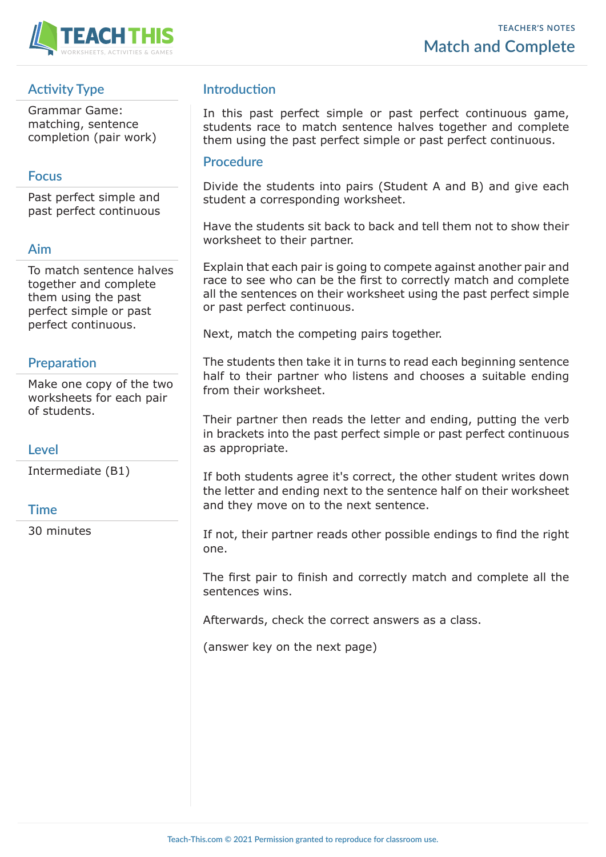

## **Activity Type**

Grammar Game: matching, sentence completion (pair work)

### **Focus**

Past perfect simple and past perfect continuous

## **Aim**

To match sentence halves together and complete them using the past perfect simple or past perfect continuous.

## **Preparation**

Make one copy of the two worksheets for each pair of students.

#### **Level**

Intermediate (B1)

#### **Time**

30 minutes

## **Introduction**

In this past perfect simple or past perfect continuous game, students race to match sentence halves together and complete them using the past perfect simple or past perfect continuous.

#### **Procedure**

Divide the students into pairs (Student A and B) and give each student a corresponding worksheet.

Have the students sit back to back and tell them not to show their worksheet to their partner.

Explain that each pair is going to compete against another pair and race to see who can be the first to correctly match and complete all the sentences on their worksheet using the past perfect simple or past perfect continuous.

Next, match the competing pairs together.

The students then take it in turns to read each beginning sentence half to their partner who listens and chooses a suitable ending from their worksheet.

Their partner then reads the letter and ending, putting the verb in brackets into the past perfect simple or past perfect continuous as appropriate.

If both students agree it's correct, the other student writes down the letter and ending next to the sentence half on their worksheet and they move on to the next sentence.

If not, their partner reads other possible endings to find the right one.

The first pair to finish and correctly match and complete all the sentences wins.

Afterwards, check the correct answers as a class.

(answer key on the next page)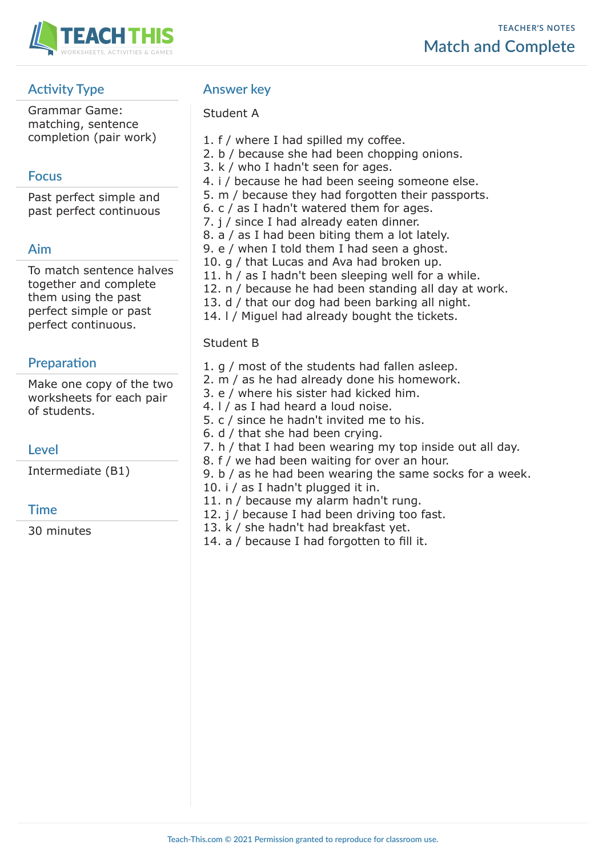

# **Activity Type**

Grammar Game: matching, sentence completion (pair work)

## **Focus**

Past perfect simple and past perfect continuous

## **Aim**

To match sentence halves together and complete them using the past perfect simple or past perfect continuous.

## **Preparation**

Make one copy of the two worksheets for each pair of students.

## **Level**

Intermediate (B1)

## **Time**

30 minutes

## **Answer key**

### Student A

- 1. f / where I had spilled my coffee.
- 2. b / because she had been chopping onions.
- 3. k / who I hadn't seen for ages.
- 4. i / because he had been seeing someone else.
- 5. m / because they had forgotten their passports.
- 6. c / as I hadn't watered them for ages.
- 7. j / since I had already eaten dinner.
- 8. a / as I had been biting them a lot lately.
- 9. e / when I told them I had seen a ghost.
- 10. g / that Lucas and Ava had broken up.
- 11. h / as I hadn't been sleeping well for a while.
- 12. n / because he had been standing all day at work.
- 13. d / that our dog had been barking all night.
- 14. l / Miguel had already bought the tickets.

#### Student B

- 1. g / most of the students had fallen asleep.
- 2. m / as he had already done his homework.
- 3. e / where his sister had kicked him.
- 4. l / as I had heard a loud noise.
- 5. c / since he hadn't invited me to his.
- 6. d / that she had been crying.
- 7. h / that I had been wearing my top inside out all day.
- 8. f / we had been waiting for over an hour.
- 9. b / as he had been wearing the same socks for a week.
- 10. i / as I hadn't plugged it in.
- 11. n / because my alarm hadn't rung.
- 12. j / because I had been driving too fast.
- 13. k / she hadn't had breakfast yet.
- 14. a / because I had forgotten to fill it.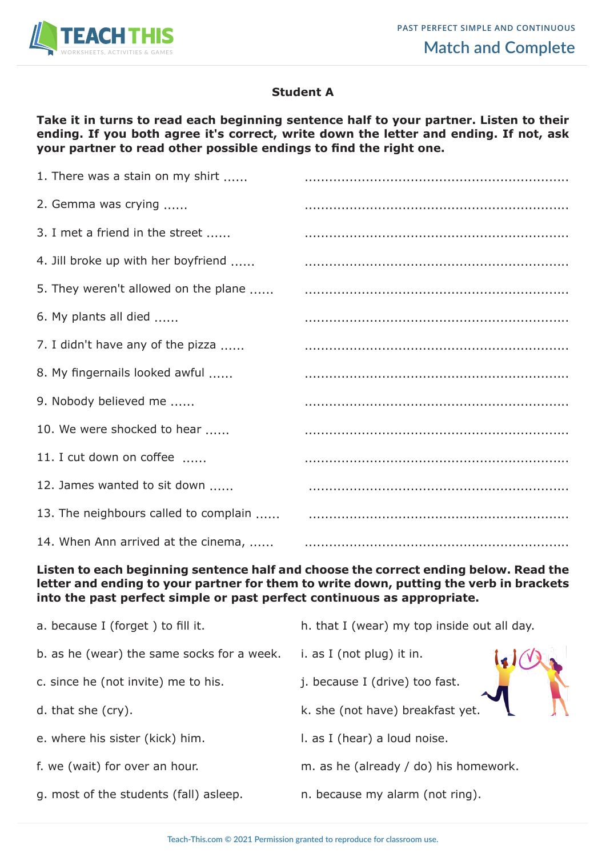

### **Student A**

**Take it in turns to read each beginning sentence half to your partner. Listen to their ending. If you both agree it's correct, write down the letter and ending. If not, ask your partner to read other possible endings to find the right one.**

| 1. There was a stain on my shirt      |  |
|---------------------------------------|--|
| 2. Gemma was crying                   |  |
| 3. I met a friend in the street       |  |
| 4. Jill broke up with her boyfriend   |  |
| 5. They weren't allowed on the plane  |  |
| 6. My plants all died                 |  |
| 7. I didn't have any of the pizza     |  |
| 8. My fingernails looked awful        |  |
| 9. Nobody believed me                 |  |
| 10. We were shocked to hear           |  |
| 11. I cut down on coffee              |  |
| 12. James wanted to sit down          |  |
| 13. The neighbours called to complain |  |
| 14. When Ann arrived at the cinema,   |  |

#### **Listen to each beginning sentence half and choose the correct ending below. Read the letter and ending to your partner for them to write down, putting the verb in brackets into the past perfect simple or past perfect continuous as appropriate.**

| a. because I (forget) to fill it.          | h. that I (wear) my top inside out all day. |
|--------------------------------------------|---------------------------------------------|
| b. as he (wear) the same socks for a week. | i. as I (not plug) it in.                   |
| c. since he (not invite) me to his.        | j. because I (drive) too fast.              |
| d. that she (cry).                         | k. she (not have) breakfast yet.            |
| e. where his sister (kick) him.            | I. as I (hear) a loud noise.                |
| f. we (wait) for over an hour.             | m. as he (already / do) his homework.       |
| g. most of the students (fall) as leep.    | n. because my alarm (not ring).             |